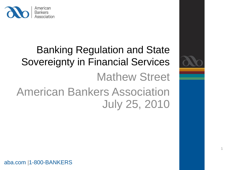

# Banking Regulation and State Sovereignty in Financial Services Mathew Street American Bankers Association July 25, 2010

aba.com |1-800-BANKERS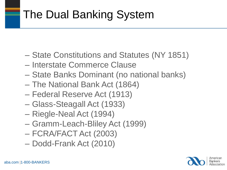# The Dual Banking System

- State Constitutions and Statutes (NY 1851)
- Interstate Commerce Clause
- State Banks Dominant (no national banks)
- The National Bank Act (1864)
- Federal Reserve Act (1913)
- Glass-Steagall Act (1933)
- Riegle-Neal Act (1994)
- Gramm-Leach-Bliley Act (1999)
- FCRA/FACT Act (2003)
- Dodd-Frank Act (2010)

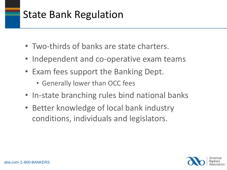### State Bank Regulation

- Two-thirds of banks are state charters.
- Independent and co-operative exam teams
- Exam fees support the Banking Dept.
	- Generally lower than OCC fees
- In-state branching rules bind national banks
- Better knowledge of local bank industry conditions, individuals and legislators.

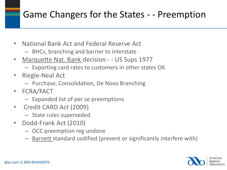#### Game Changers for the States - - Preemption

- National Bank Act and Federal Reserve Act
	- BHCs, branching and barrier to interstate
- Marquette Nat. Bank decision - US Sups 1977
	- Exporting card rates to customers in other states OK
- Riegle-Neal Act
	- Purchase, Consolidation, De Novo Branching
- FCRA/FACT
	- Expanded list of per se preemptions
- Credit CARD Act (2009)
	- State rules superseded
- Dodd-Frank Act (2010)
	- OCC preemption reg undone
	- Barnett standard codified (prevent or significantly interfere with)

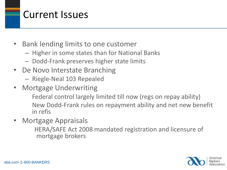### Current Issues

- Bank lending limits to one customer
	- Higher in some states than for National Banks
	- Dodd-Frank preserves higher state limits
- De Novo Interstate Branching
	- Riegle-Neal 103 Repealed
- Mortgage Underwriting Federal control largely limited till now (regs on repay ability) New Dodd-Frank rules on repayment ability and net new benefit in refis
- Mortgage Appraisals HERA/SAFE Act 2008 mandated registration and licensure of mortgage brokers

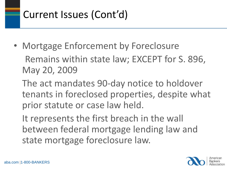## Current Issues (Cont'd)

• Mortgage Enforcement by Foreclosure Remains within state law; EXCEPT for S. 896, May 20, 2009

The act mandates 90-day notice to holdover tenants in foreclosed properties, despite what prior statute or case law held.

It represents the first breach in the wall between federal mortgage lending law and state mortgage foreclosure law.